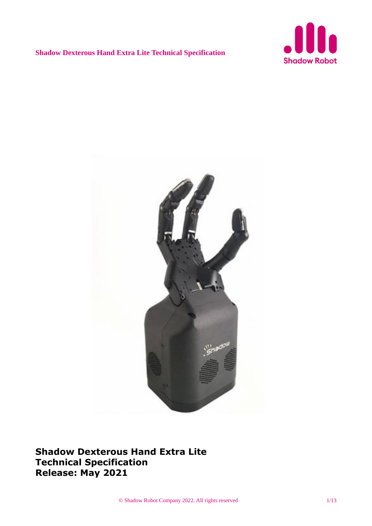



**Shadow Dexterous Hand Extra Lite Technical Specification Release: May 2021**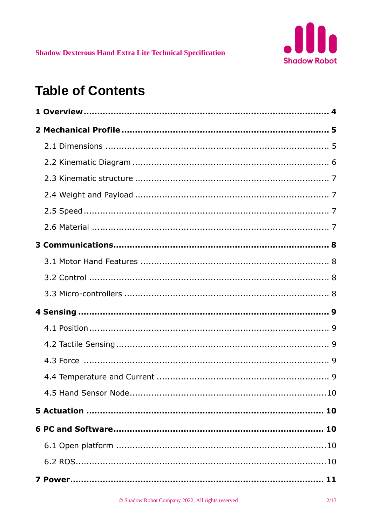

# **Table of Contents**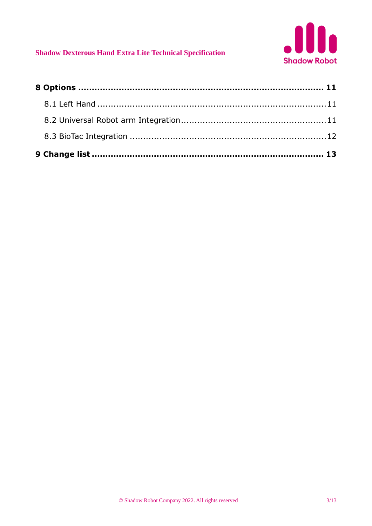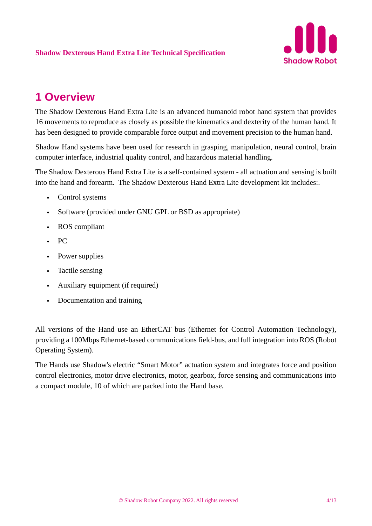

# **1 Overview**

The Shadow Dexterous Hand Extra Lite is an advanced humanoid robot hand system that provides 16 movements to reproduce as closely as possible the kinematics and dexterity of the human hand. It has been designed to provide comparable force output and movement precision to the human hand.

Shadow Hand systems have been used for research in grasping, manipulation, neural control, brain computer interface, industrial quality control, and hazardous material handling.

The Shadow Dexterous Hand Extra Lite is a self-contained system - all actuation and sensing is built into the hand and forearm. The Shadow Dexterous Hand Extra Lite development kit includes:.

- Control systems
- Software (provided under GNU GPL or BSD as appropriate)
- ROS compliant
- PC
- Power supplies
- Tactile sensing
- Auxiliary equipment (if required)
- Documentation and training

All versions of the Hand use an EtherCAT bus (Ethernet for Control Automation Technology), providing a 100Mbps Ethernet-based communications field-bus, and full integration into ROS (Robot Operating System).

The Hands use Shadow's electric "Smart Motor" actuation system and integrates force and position control electronics, motor drive electronics, motor, gearbox, force sensing and communications into a compact module, 10 of which are packed into the Hand base.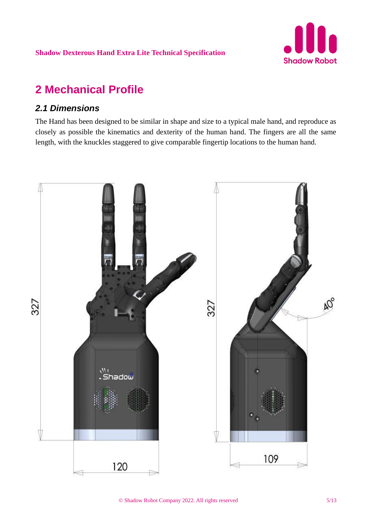

# **2 Mechanical Profile**

## *2.1 Dimensions*

The Hand has been designed to be similar in shape and size to a typical male hand, and reproduce as closely as possible the kinematics and dexterity of the human hand. The fingers are all the same length, with the knuckles staggered to give comparable fingertip locations to the human hand.

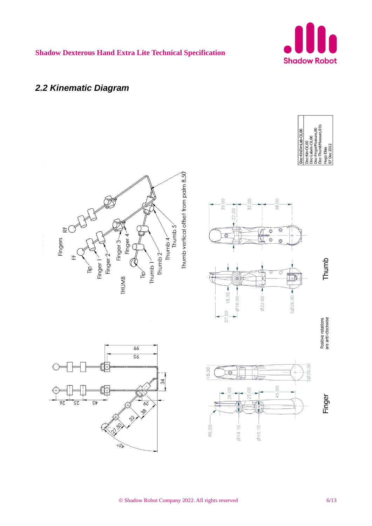

## *2.2 Kinematic Diagram*

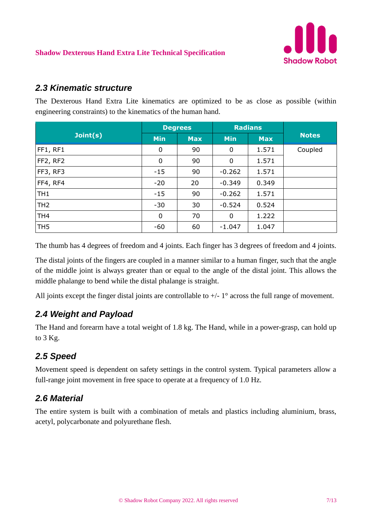

#### *2.3 Kinematic structure*

The Dexterous Hand Extra Lite kinematics are optimized to be as close as possible (within engineering constraints) to the kinematics of the human hand.

|                 |             | <b>Degrees</b> |            | <b>Radians</b> |              |
|-----------------|-------------|----------------|------------|----------------|--------------|
| Join(s)         | <b>Min</b>  | <b>Max</b>     | <b>Min</b> | <b>Max</b>     | <b>Notes</b> |
| FF1, RF1        | 0           | 90             | 0          | 1.571          | Coupled      |
| FF2, RF2        | 0           | 90             | 0          | 1.571          |              |
| FF3, RF3        | $-15$       | 90             | $-0.262$   | 1.571          |              |
| FF4, RF4        | $-20$       | 20             | $-0.349$   | 0.349          |              |
| TH <sub>1</sub> | $-15$       | 90             | $-0.262$   | 1.571          |              |
| TH <sub>2</sub> | $-30$       | 30             | $-0.524$   | 0.524          |              |
| TH <sub>4</sub> | $\mathbf 0$ | 70             | 0          | 1.222          |              |
| TH <sub>5</sub> | $-60$       | 60             | $-1.047$   | 1.047          |              |

The thumb has 4 degrees of freedom and 4 joints. Each finger has 3 degrees of freedom and 4 joints.

The distal joints of the fingers are coupled in a manner similar to a human finger, such that the angle of the middle joint is always greater than or equal to the angle of the distal joint. This allows the middle phalange to bend while the distal phalange is straight.

All joints except the finger distal joints are controllable to  $+/-1$ <sup>o</sup> across the full range of movement.

## *2.4 Weight and Payload*

The Hand and forearm have a total weight of 1.8 kg. The Hand, while in a power-grasp, can hold up to 3 Kg.

## *2.5 Speed*

Movement speed is dependent on safety settings in the control system. Typical parameters allow a full-range joint movement in free space to operate at a frequency of 1.0 Hz.

## *2.6 Material*

The entire system is built with a combination of metals and plastics including aluminium, brass, acetyl, polycarbonate and polyurethane flesh.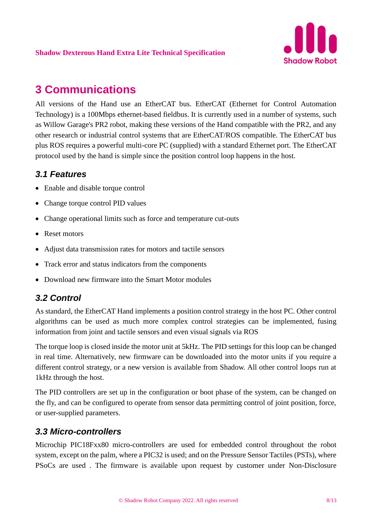

# **3 Communications**

All versions of the Hand use an EtherCAT bus. EtherCAT (Ethernet for Control Automation Technology) is a 100Mbps ethernet-based fieldbus. It is currently used in a number of systems, such as Willow Garage's PR2 robot, making these versions of the Hand compatible with the PR2, and any other research or industrial control systems that are EtherCAT/ROS compatible. The EtherCAT bus plus ROS requires a powerful multi-core PC (supplied) with a standard Ethernet port. The EtherCAT protocol used by the hand is simple since the position control loop happens in the host.

## *3.1 Features*

- Enable and disable torque control
- Change torque control PID values
- Change operational limits such as force and temperature cut-outs
- Reset motors
- Adjust data transmission rates for motors and tactile sensors
- Track error and status indicators from the components
- Download new firmware into the Smart Motor modules

## *3.2 Control*

As standard, the EtherCAT Hand implements a position control strategy in the host PC. Other control algorithms can be used as much more complex control strategies can be implemented, fusing information from joint and tactile sensors and even visual signals via ROS

The torque loop is closed inside the motor unit at 5kHz. The PID settings for this loop can be changed in real time. Alternatively, new firmware can be downloaded into the motor units if you require a different control strategy, or a new version is available from Shadow. All other control loops run at 1kHz through the host.

The PID controllers are set up in the configuration or boot phase of the system, can be changed on the fly, and can be configured to operate from sensor data permitting control of joint position, force, or user-supplied parameters.

#### *3.3 Micro-controllers*

Microchip PIC18Fxx80 micro-controllers are used for embedded control throughout the robot system, except on the palm, where a PIC32 is used; and on the Pressure Sensor Tactiles (PSTs), where PSoCs are used . The firmware is available upon request by customer under Non-Disclosure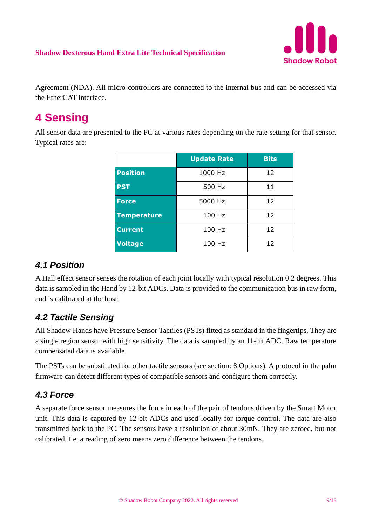

Agreement (NDA). All micro-controllers are connected to the internal bus and can be accessed via the EtherCAT interface.

# **4 Sensing**

All sensor data are presented to the PC at various rates depending on the rate setting for that sensor. Typical rates are:

|                    | <b>Update Rate</b> | <b>Bits</b> |
|--------------------|--------------------|-------------|
| <b>Position</b>    | 1000 Hz            | 12          |
| <b>PST</b>         | 500 Hz             | 11          |
| <b>Force</b>       | 5000 Hz            | 12          |
| <b>Temperature</b> | 100 Hz             | 12          |
| <b>Current</b>     | 100 Hz             | 12          |
| <b>Voltage</b>     | 100 Hz             | 12          |

## *4.1 Position*

A Hall effect sensor senses the rotation of each joint locally with typical resolution 0.2 degrees. This data is sampled in the Hand by 12-bit ADCs. Data is provided to the communication bus in raw form, and is calibrated at the host.

## *4.2 Tactile Sensing*

All Shadow Hands have Pressure Sensor Tactiles (PSTs) fitted as standard in the fingertips. They are a single region sensor with high sensitivity. The data is sampled by an 11-bit ADC. Raw temperature compensated data is available.

The PSTs can be substituted for other tactile sensors (see section: 8 Options). A protocol in the palm firmware can detect different types of compatible sensors and configure them correctly.

## *4.3 Force*

A separate force sensor measures the force in each of the pair of tendons driven by the Smart Motor unit. This data is captured by 12-bit ADCs and used locally for torque control. The data are also transmitted back to the PC. The sensors have a resolution of about 30mN. They are zeroed, but not calibrated. I.e. a reading of zero means zero difference between the tendons.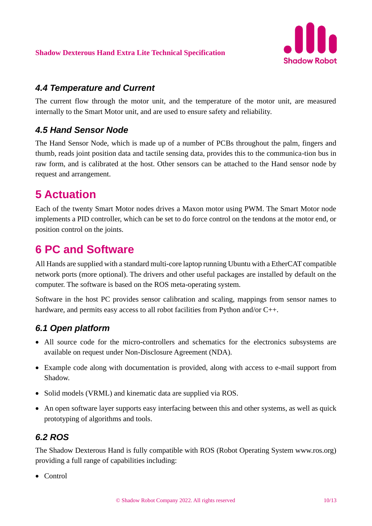

#### *4.4 Temperature and Current*

The current flow through the motor unit, and the temperature of the motor unit, are measured internally to the Smart Motor unit, and are used to ensure safety and reliability.

## *4.5 Hand Sensor Node*

The Hand Sensor Node, which is made up of a number of PCBs throughout the palm, fingers and thumb, reads joint position data and tactile sensing data, provides this to the communica-tion bus in raw form, and is calibrated at the host. Other sensors can be attached to the Hand sensor node by request and arrangement.

# **5 Actuation**

Each of the twenty Smart Motor nodes drives a Maxon motor using PWM. The Smart Motor node implements a PID controller, which can be set to do force control on the tendons at the motor end, or position control on the joints.

## **6 PC and Software**

All Hands are supplied with a standard multi-core laptop running Ubuntu with a EtherCAT compatible network ports (more optional). The drivers and other useful packages are installed by default on the computer. The software is based on the ROS meta-operating system.

Software in the host PC provides sensor calibration and scaling, mappings from sensor names to hardware, and permits easy access to all robot facilities from Python and/or C++.

## *6.1 Open platform*

- All source code for the micro-controllers and schematics for the electronics subsystems are available on request under Non-Disclosure Agreement (NDA).
- Example code along with documentation is provided, along with access to e-mail support from Shadow.
- Solid models (VRML) and kinematic data are supplied via ROS.
- An open software layer supports easy interfacing between this and other systems, as well as quick prototyping of algorithms and tools.

## *6.2 ROS*

The Shadow Dexterous Hand is fully compatible with ROS (Robot Operating System www.ros.org) providing a full range of capabilities including:

• Control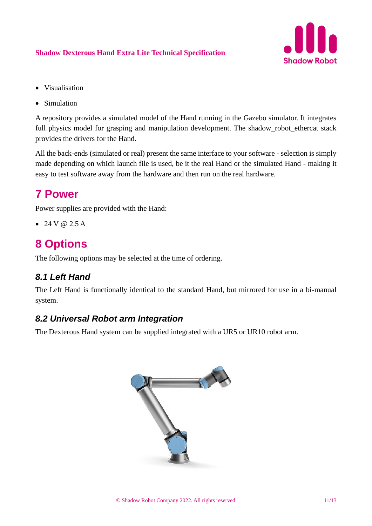

- Visualisation
- Simulation

A repository provides a simulated model of the Hand running in the Gazebo simulator. It integrates full physics model for grasping and manipulation development. The shadow\_robot\_ethercat stack provides the drivers for the Hand.

All the back-ends (simulated or real) present the same interface to your software - selection is simply made depending on which launch file is used, be it the real Hand or the simulated Hand - making it easy to test software away from the hardware and then run on the real hardware.

## **7 Power**

Power supplies are provided with the Hand:

• 24 V  $\omega$  2.5 A

## **8 Options**

The following options may be selected at the time of ordering.

## *8.1 Left Hand*

The Left Hand is functionally identical to the standard Hand, but mirrored for use in a bi-manual system.

#### *8.2 Universal Robot arm Integration*

The Dexterous Hand system can be supplied integrated with a UR5 or UR10 robot arm.

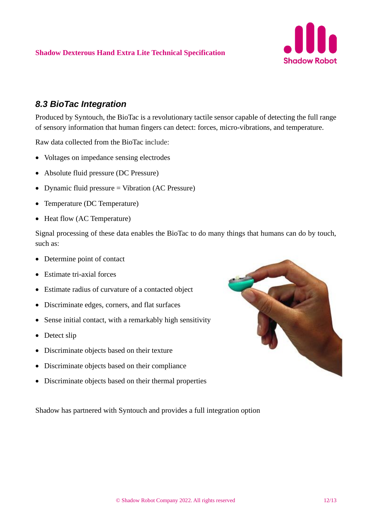

#### *8.3 BioTac Integration*

Produced by Syntouch, the BioTac is a revolutionary tactile sensor capable of detecting the full range of sensory information that human fingers can detect: forces, micro-vibrations, and temperature.

Raw data collected from the BioTac include:

- Voltages on impedance sensing electrodes
- Absolute fluid pressure (DC Pressure)
- Dynamic fluid pressure = Vibration (AC Pressure)
- Temperature (DC Temperature)
- Heat flow (AC Temperature)

Signal processing of these data enables the BioTac to do many things that humans can do by touch, such as:

- Determine point of contact
- Estimate tri-axial forces
- Estimate radius of curvature of a contacted object
- Discriminate edges, corners, and flat surfaces
- Sense initial contact, with a remarkably high sensitivity
- Detect slip
- Discriminate objects based on their texture
- Discriminate objects based on their compliance
- Discriminate objects based on their thermal properties

Shadow has partnered with Syntouch and provides a full integration option